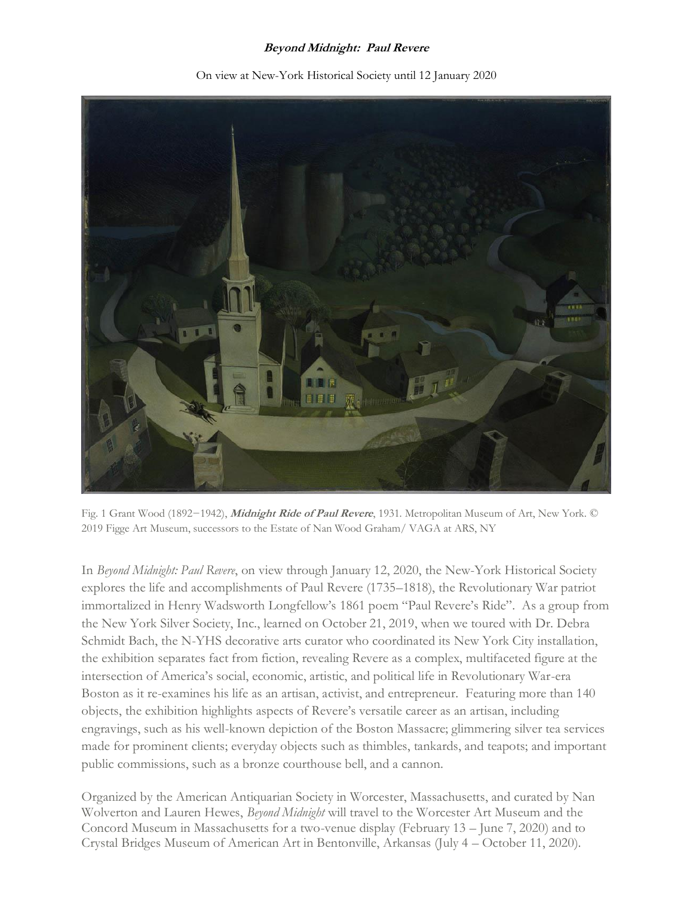## **Beyond Midnight: Paul Revere**



On view at New-York Historical Society until 12 January 2020

Fig. 1 Grant Wood (1892−1942), **Midnight Ride of Paul Revere**, 1931. Metropolitan Museum of Art, New York. © 2019 Figge Art Museum, successors to the Estate of Nan Wood Graham/ VAGA at ARS, NY

In *Beyond Midnight: Paul Revere*, on view through January 12, 2020, the New-York Historical Society explores the life and accomplishments of Paul Revere (1735–1818), the Revolutionary War patriot immortalized in Henry Wadsworth Longfellow's 1861 poem "Paul Revere's Ride". As a group from the New York Silver Society, Inc., learned on October 21, 2019, when we toured with Dr. Debra Schmidt Bach, the N-YHS decorative arts curator who coordinated its New York City installation, the exhibition separates fact from fiction, revealing Revere as a complex, multifaceted figure at the intersection of America's social, economic, artistic, and political life in Revolutionary War-era Boston as it re-examines his life as an artisan, activist, and entrepreneur. Featuring more than 140 objects, the exhibition highlights aspects of Revere's versatile career as an artisan, including engravings, such as his well-known depiction of the Boston Massacre; glimmering silver tea services made for prominent clients; everyday objects such as thimbles, tankards, and teapots; and important public commissions, such as a bronze courthouse bell, and a cannon.

Organized by the American Antiquarian Society in Worcester, Massachusetts, and curated by Nan Wolverton and Lauren Hewes, *Beyond Midnight* will travel to the Worcester Art Museum and the Concord Museum in Massachusetts for a two-venue display (February 13 – June 7, 2020) and to Crystal Bridges Museum of American Art in Bentonville, Arkansas (July 4 – October 11, 2020).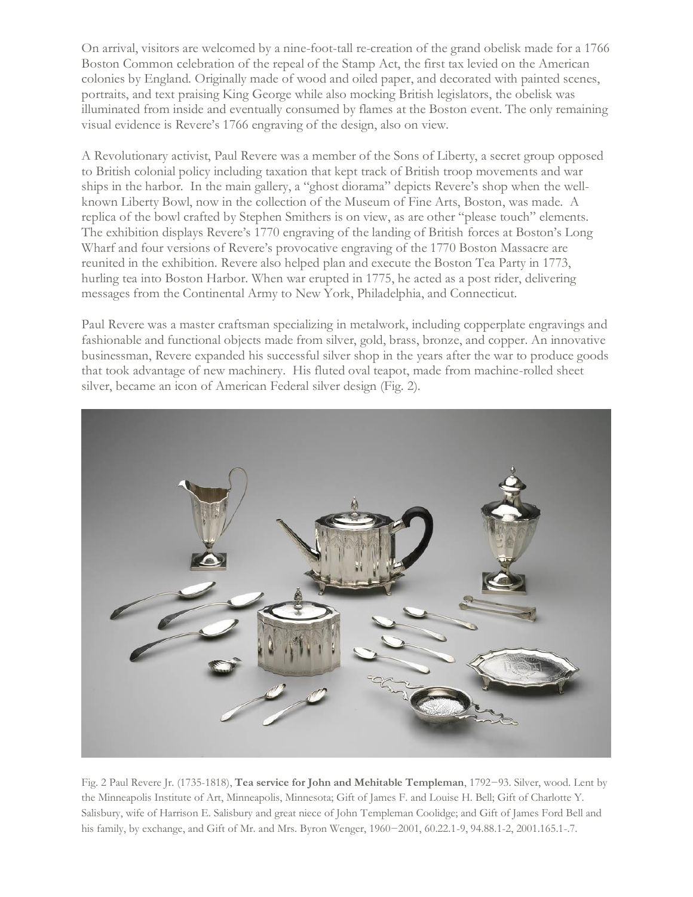On arrival, visitors are welcomed by a nine-foot-tall re-creation of the grand obelisk made for a 1766 Boston Common celebration of the repeal of the Stamp Act, the first tax levied on the American colonies by England. Originally made of wood and oiled paper, and decorated with painted scenes, portraits, and text praising King George while also mocking British legislators, the obelisk was illuminated from inside and eventually consumed by flames at the Boston event. The only remaining visual evidence is Revere's 1766 engraving of the design, also on view.

A Revolutionary activist, Paul Revere was a member of the Sons of Liberty, a secret group opposed to British colonial policy including taxation that kept track of British troop movements and war ships in the harbor. In the main gallery, a "ghost diorama" depicts Revere's shop when the wellknown Liberty Bowl, now in the collection of the Museum of Fine Arts, Boston, was made. A replica of the bowl crafted by Stephen Smithers is on view, as are other "please touch" elements. The exhibition displays Revere's 1770 engraving of the landing of British forces at Boston's Long Wharf and four versions of Revere's provocative engraving of the 1770 Boston Massacre are reunited in the exhibition. Revere also helped plan and execute the Boston Tea Party in 1773, hurling tea into Boston Harbor. When war erupted in 1775, he acted as a post rider, delivering messages from the Continental Army to New York, Philadelphia, and Connecticut.

Paul Revere was a master craftsman specializing in metalwork, including copperplate engravings and fashionable and functional objects made from silver, gold, brass, bronze, and copper. An innovative businessman, Revere expanded his successful silver shop in the years after the war to produce goods that took advantage of new machinery. His fluted oval teapot, made from machine-rolled sheet silver, became an icon of American Federal silver design (Fig. 2).



Fig. 2 Paul Revere Jr. (1735-1818), **Tea service for John and Mehitable Templeman**, 1792−93. Silver, wood. Lent by the Minneapolis Institute of Art, Minneapolis, Minnesota; Gift of James F. and Louise H. Bell; Gift of Charlotte Y. Salisbury, wife of Harrison E. Salisbury and great niece of John Templeman Coolidge; and Gift of James Ford Bell and his family, by exchange, and Gift of Mr. and Mrs. Byron Wenger, 1960−2001, 60.22.1-9, 94.88.1-2, 2001.165.1-.7.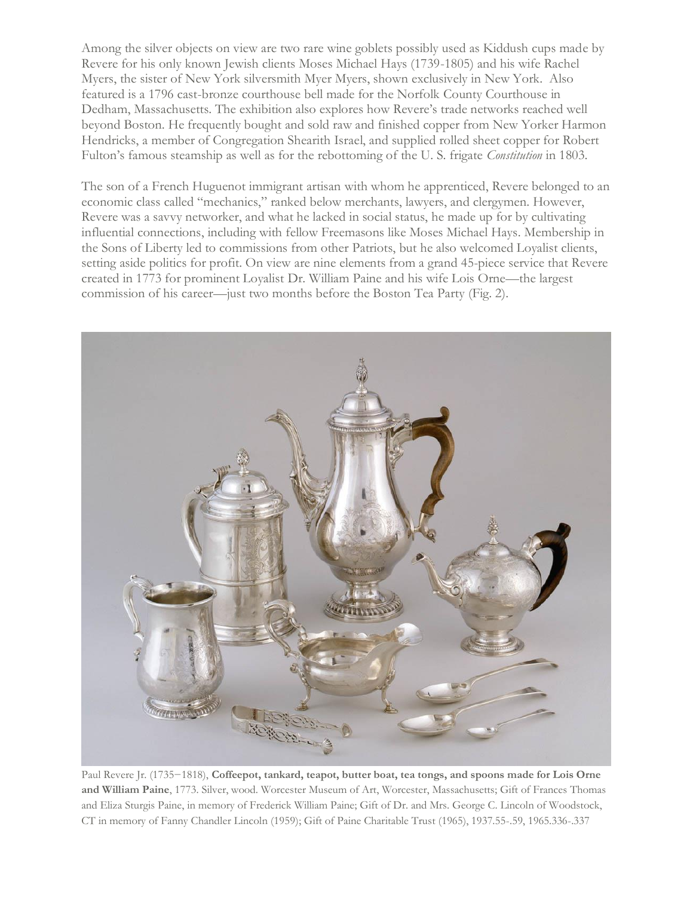Among the silver objects on view are two rare wine goblets possibly used as Kiddush cups made by Revere for his only known Jewish clients Moses Michael Hays (1739-1805) and his wife Rachel Myers, the sister of New York silversmith Myer Myers, shown exclusively in New York. Also featured is a 1796 cast-bronze courthouse bell made for the Norfolk County Courthouse in Dedham, Massachusetts. The exhibition also explores how Revere's trade networks reached well beyond Boston. He frequently bought and sold raw and finished copper from New Yorker Harmon Hendricks, a member of Congregation Shearith Israel, and supplied rolled sheet copper for Robert Fulton's famous steamship as well as for the rebottoming of the U. S. frigate *Constitution* in 1803.

The son of a French Huguenot immigrant artisan with whom he apprenticed, Revere belonged to an economic class called "mechanics," ranked below merchants, lawyers, and clergymen. However, Revere was a savvy networker, and what he lacked in social status, he made up for by cultivating influential connections, including with fellow Freemasons like Moses Michael Hays. Membership in the Sons of Liberty led to commissions from other Patriots, but he also welcomed Loyalist clients, setting aside politics for profit. On view are nine elements from a grand 45-piece service that Revere created in 1773 for prominent Loyalist Dr. William Paine and his wife Lois Orne—the largest commission of his career—just two months before the Boston Tea Party (Fig. 2).



Paul Revere Jr. (1735−1818), **Coffeepot, tankard, teapot, butter boat, tea tongs, and spoons made for Lois Orne and William Paine**, 1773. Silver, wood. Worcester Museum of Art, Worcester, Massachusetts; Gift of Frances Thomas and Eliza Sturgis Paine, in memory of Frederick William Paine; Gift of Dr. and Mrs. George C. Lincoln of Woodstock, CT in memory of Fanny Chandler Lincoln (1959); Gift of Paine Charitable Trust (1965), 1937.55-.59, 1965.336-.337